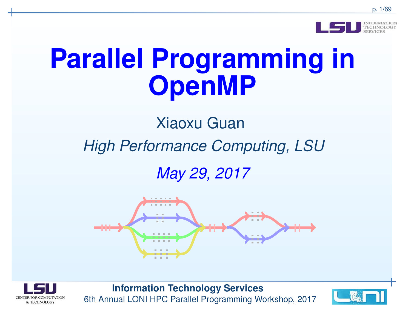

# **Parallel Programming inOpenMP**

# Xiaoxu Guan

# *High Performance Computing, LSU*

*May 29, 2017*





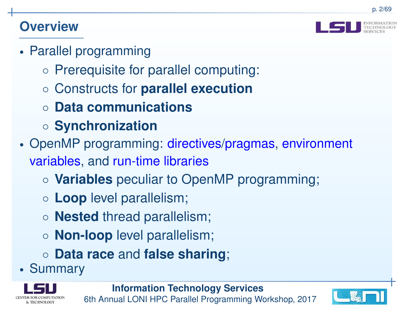#### **Overview**



- • Parallel programming
	- Prerequisite for parallel computing:
	- Constructs for **parallel execution**
	- **Data communications**
	- **Synchronization**
- • OpenMP programming: directives/pragmas, environment variables, and run-time libraries
	- **Variables** peculiar to OpenMP programming;
	- **Loop** level parallelism;
	- **Nested** thread parallelism;
	- **Non-loop** level parallelism;
	- **Data race** and **false sharing**;
- •Summary



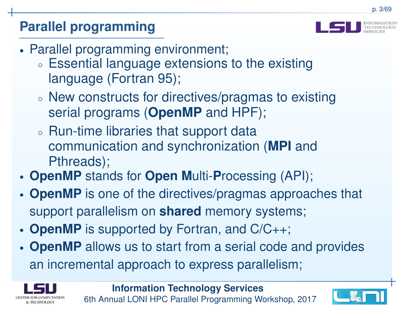# **Parallel programming**



- • Parallel programming environment;
	- ◦ $\circ$  Essential language extensions to the existing language (Fortran 95);
	- ◦ $\circ$  New constructs for directives/pragmas to existing serial programs (**OpenMP** and HPF);
	- ◦ $\circ$  Run-time libraries that support data communication and synchronization (**MPI** andPthreads);
- •**OpenMP** stands for **Open <sup>M</sup>**ulti-**P**rocessing (API);
- • **OpenMP** is one of the directives/pragmas approaches that support parallelism on **shared** memory systems;
- •**OpenMP** is supported by Fortran, and C/C++;
- • **OpenMP** allows us to start from <sup>a</sup> serial code and provides an incremental approach to express parallelism;



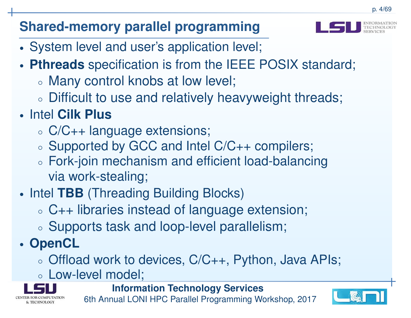# **Shared-memory parallel programming**



- •System level and user's application level;
- • **Pthreads** specification is from the IEEE POSIX standard;
	- ◦Many control knobs at low level;
	- ◦Difficult to use and relatively heavyweight threads;
- • Intel **Cilk Plus**
	- ◦C/C++ language extensions;
	- ◦ $\circ$  Supported by GCC and Intel C/C++ compilers;
	- ◦ Fork-join mechanism and efficient load-balancingvia work-stealing;
- •• Intel TBB (Threading Building Blocks)
	- ◦C++ libraries instead of language extension;
	- ◦ $\circ$  Supports task and loop-level parallelism;
- • **OpenCL**
	- ◦ $\circ$  Offload work to devices, C/C++, Python, Java APIs;
	- ◦∘ Low-level model;

& TECHNOLOGY

**Information Technology Services**

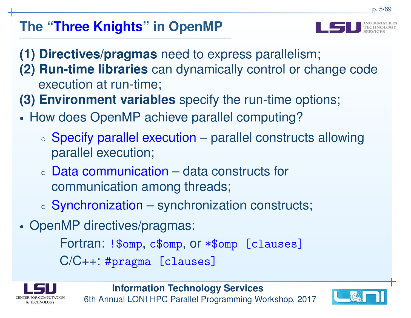# **The "Three Knights" in OpenMP**



- **(1) Directives/pragmas** need to express parallelism;
- **(2) Run-time libraries** can dynamically control or change code execution at run-time;
- **(3) Environment variables** specify the run-time options;
- • How does OpenMP achieve parallel computing?
	- ◦ Specify parallel execution – parallel constructs allowing parallel execution;
	- ◦ Data communication – data constructs for communication among threads;
	- ◦ $\circ$  Synchronization – synchronization constructs;
- •• OpenMP directives/pragmas:

Fortran: !\$omp, c\$omp, or \*\$omp [clauses]

C/C++: #pragma [clauses]



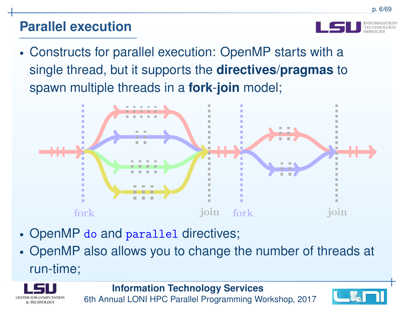#### **Parallel execution**

•

 Constructs for parallel execution: OpenMP starts with <sup>a</sup>single thread, but it supports the **directives** /**pragmas** to spawn multiple threads in <sup>a</sup> **fork** -**join** model;



- •OpenMP do and parallel directives;
- • OpenMP also allows you to change the number of threads at run-time;



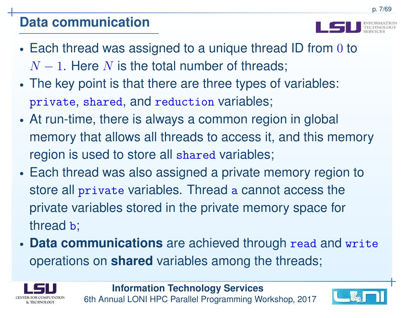### **Data communication**

p. 7/69

- • $\bullet$  Each thread was assigned to a unique thread ID from  $0$  to *N*−<sup>1</sup>. Here*N* is the total number of threads;
- Ih The key point is that there are three types of variables: private, shared, and reduction variables;
- • At run-time, there is always <sup>a</sup> common region in global memory that allows all threads to access it, and this memoryregion is used to store all shared variables;
- • Each thread was also assigned <sup>a</sup> private memory region tostore all private variables. Thread a cannot access the private variables stored in the private memory space forthread **b**;
- • **Data communications** are achieved through read and write operations on **shared** variables among the threads;



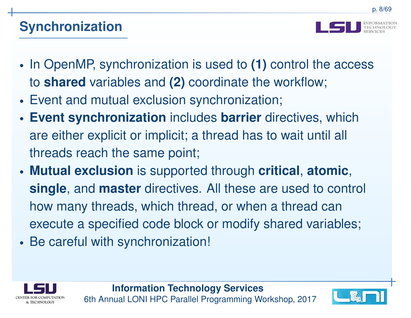

- • In OpenMP, synchronization is used to **(1)** control the access to **shared** variables and **(2)** coordinate the workflow;
- •Event and mutual exclusion synchronization;
- • **Event synchronization** includes **barrier** directives, which are either explicit or implicit; <sup>a</sup> thread has to wait until all threads reach the same point;
- • **Mutual exclusion** is supported through **critical**, **atomic**, **single**, and **master** directives. All these are used to control how many threads, which thread, or when <sup>a</sup> thread canexecute <sup>a</sup> specified code block or modify shared variables;
- •• Be careful with synchronization!



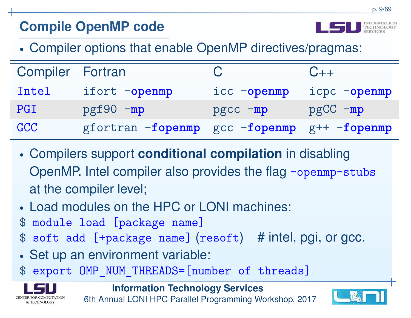# **Compile OpenMP code**



p. 9/69

•Compiler options that enable OpenMP directives/pragmas:

| <b>Compiler Fortran</b> |                   |              | $C++$           |
|-------------------------|-------------------|--------------|-----------------|
| Intel                   | ifort -openmp     | icc -openmp  | icpc -openmp    |
| PGI                     | $pgf90 - mp$      | $pgcc - mp$  | $pgCC - mp$     |
| GCC                     | gfortran -fopenmp | gcc -fopenmp | $gf++ -fopennp$ |

- • Compilers support **conditional compilation** in disabling OpenMP. Intel compiler also provides the flag -openmp-stubs at the compiler level;
- •Load modules on the HPC or LONI machines:
- $\mathbf{\$}$ module load [package name]
- soft add [+package name] (resoft) # intel, pgi, or gcc.  $\mathbf{\mathfrak{F}}$
- •Set up an environment variable:
- \$ expor<sup>t</sup> OMP\_NUM\_THREADS=[number of threads]



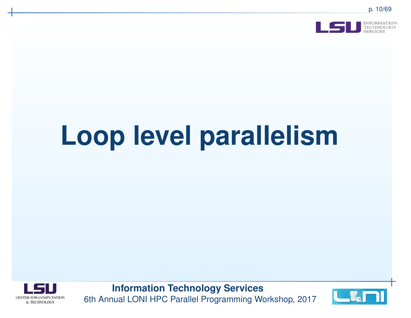

# **Loop level parallelism**



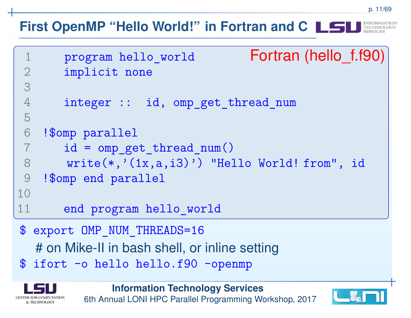#### **First OpenMP "Hello World!" in Fortran and C**

```
1program hello world Fortran (hello f.f90)
2 implicit none
3
4 integer :: id, omp_get_thread_num
5
6 !$omp parallel
 id = omp_get_thread_num()
78 write(*,'(1x,a,i3)') "Hello World! from", id
9 !$omp end parallel10
11 end program hello_world$ export OMP_NUM_THREADS=16# on Mike-II in bash shell, or inline setting
$ ifort -o hello hello.f90 -openmp
```


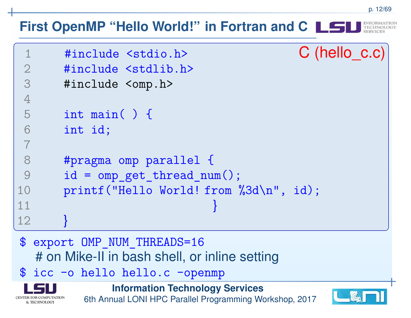#### p. 12/69**First OpenMP "Hello World!" in Fortran and C**1 #include <stdio.h> <sup>C</sup> (hello\_c.c) 2 #include <stdlib.h> 3 #include <omp.h> 4 5 int main( ) { 6 int id;7

```

8 #pragma omp parallel {
 id = omp_get_thread_num();9
 printf("Hello World! from %3d\n", id);
1011
12}}
```
- \$ export OMP NUM THREADS=16 # on Mike-II in bash shell, or inline setting
- \$ icc -o hello hello.c -openmp



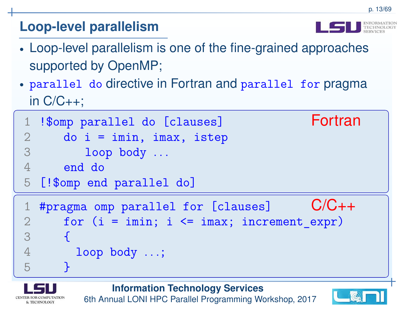# **Loop-level parallelism**

•

& TECHNOLOGY

- Loop-level parallelism is one of the fine-grained approachessupported by OpenMP;
- parallel do directive in Fortran and parallel for pragma in C/C++;

```
1!$omp parallel do [clauses] Fortran
2 do i = imin, imax, istep
3 loop body . . .
4 end do
5[!$omp end parallel do]
1#pragma omp parallel for [clauses] C/C++2for (i = imin; i \leq imax; increment expr)3
4{
        loop body . . .;
5}
```


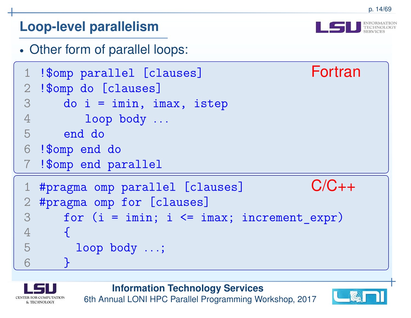#### **Loop-level parallelism**

•Other form of parallel loops:

```
1!$omp parallel [clauses] Fortran
2 !$omp do [clauses]
3do i = imin, imax, istep4 loop body . . .
5 end do
6 !$omp end do
 !$omp end parallel
71 #pragma omp parallel [clauses] C/C++2 #pragma omp for [clauses]
3for (i = imin; i \leq imax; increment expr)4
5{
        loop body . . .;
6<u>}</u>
```


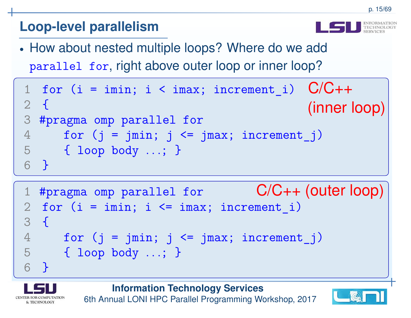# **Loop-level parallelism**

• How about nested multiple loops? Where do we addparallel for, right above outer loop or inner loop?

```
1 for (i = imin; i < imax; increment_i) C/C++
(inner loop)2{
3
 #pragma omp parallel for
4for (j = jmin; j \le jmax; increment_j)5 { loop body . . .; }
6}
```

```
1 #pragma omp parallel for C/C++ (outer loop)
2 for (i = imin; i \leq imax; increment_i)3{
4for (j = jmin; j \le jmax; increment j)5 { loop body . . .; }
6}
```
**Information Technology Services**



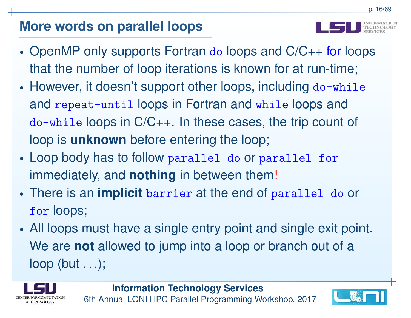## **More words on parallel loops**

- •• OpenMP only supports Fortran do loops and C/C++ for loops that the number of loop iterations is known for at run-time;
- •• However, it doesn't support other loops, including do-while and repeat-until loops in Fortran and while loops and do-while loops in C/C++. In these cases, the trip count of loop is **unknown** before entering the loop;
- • Loop body has to follow parallel do or parallel for immediately, and **nothing** in between them!
- • There is an **implicit** barrier at the end of parallel do or for loops;
- • All loops must have <sup>a</sup> single entry point and single exit point. We are **not** allowed to jump into <sup>a</sup> loop or branch out of <sup>a</sup> loop (but *. . .*);





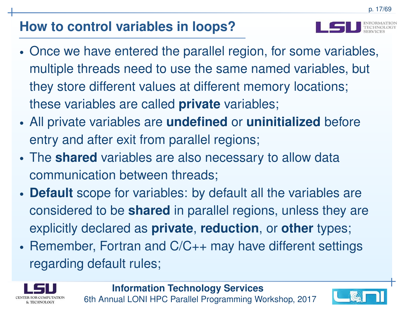- 
- • Once we have entered the parallel region, for some variables, multiple threads need to use the same named variables, but they store different values at different memory locations; these variables are called **private** variables;
- • All private variables are **undefined** or **uninitialized** before entry and after exit from parallel regions;
- • The **shared** variables are also necessary to allow data communication between threads;
- • **Default** scope for variables: by default all the variables areconsidered to be **shared** in parallel regions, unless they are explicitly declared as **private**, **reduction**, or **other** types;
- •• Remember, Fortran and C/C++ may have different settings regarding default rules;



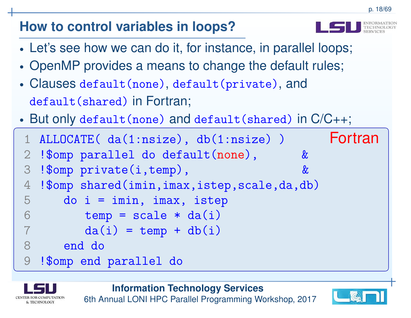- 
- •Let's see how we can do it, for instance, in parallel loops;
- •OpenMP provides <sup>a</sup> means to change the default rules;
- • Clauses default(none), default(private), anddefault(shared) in Fortran;
- •But only default(none) and default(shared) in C/C++;

```
1ALLOCATE( da(1:nsize), db(1:nsize)) \overline{F} Fortran
2!$omp parallel do default(none),
3 !$omp private(i,temp), &
4 !$omp shared(imin,imax,istep,scale,da,db)
5 do i = imin, imax, istep
6temp = scale * da(i)7 \text{ da}(i) = \text{temp} + \text{db}(i)78 end do
9 !$omp end parallel do
```


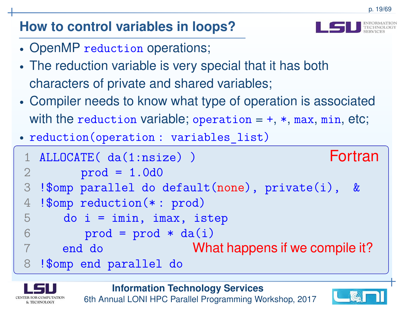- •• OpenMP reduction operations;
- • The reduction variable is very special that it has bothcharacters of private and shared variables;
- • Compiler needs to know what type of operation is associatedwith the reduction variable; operation =+, \*, max, min, etc;
- •reduction(operation : variables\_list)

```
1ALLOCATE( da(1:nsize) ) Fortran
\mathcal{D}_{\mathcal{L}} prod = 1.0d0
3 !$omp parallel do default(none), private(i), &
4 !$omp reduction(* : prod)
5do i = imin, imax, istep6prod = prod * da(i)<br>end do Whend do What happens if we compile it?
78 !$omp end parallel do
```


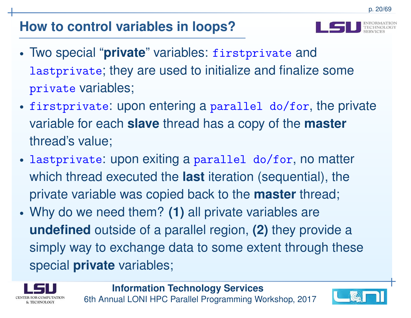

- • Two special "**private**" variables: firstprivate andlastprivate; they are used to initialize and finalize someprivate variables;
- • firstprivate: upon entering <sup>a</sup> parallel do/for, the private variable for each **slave** thread has <sup>a</sup> copy of the **master** thread's value;
- • lastprivate: upon exiting <sup>a</sup> parallel do/for, no matter which thread executed the **last** iteration (sequential), the private variable was copied back to the **master** thread;
- • Why do we need them? **(1)** all private variables are **undefined** outside of <sup>a</sup> parallel region, **(2)** they provide <sup>a</sup> simply way to exchange data to some extent through these special **private** variables;



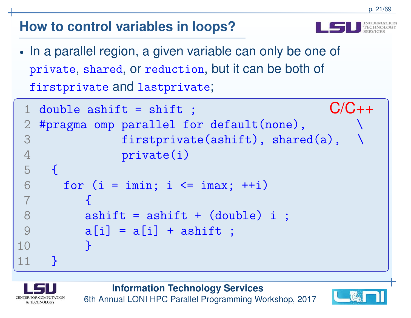- 
- •• In a parallel region, a given variable can only be one of private, shared, or reduction, but it can be both of firstprivate and lastprivate;

```
1double ashift = shift ; C/C++2 #pragma omp parallel for default(none),
3firstprivate(ashift), shared(a),
4 private(i)
5
6{
      for (i = imin; i \le imax; ++i)7
8{

 ashift = ashift + (double) i ;
9a[i] = a[i] + ashift;10
11<u>}</u>
    <u>}</u>
```
**Information Technology Services**



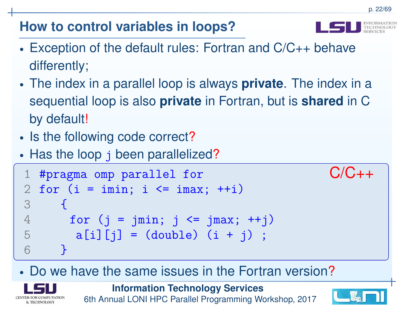

- • Exception of the default rules: Fortran and C/C++ behavedifferently;
- • The index in <sup>a</sup> parallel loop is always **private**. The index in <sup>a</sup>sequential loop is also **private** in Fortran, but is **shared** in <sup>C</sup>by default!
- •• Is the following code correct?
- •• Has the loop j been parallelized?

```
1#pragma omp parallel for C/C++
2 for (i = imin; i \leq imax; ++i)3
4\left\{ \right.for (j = jmin; j \le jmax; ++j)5a[i][j] = (double) (i + j);6}
```
#### •• Do we have the same issues in the Fortran version?



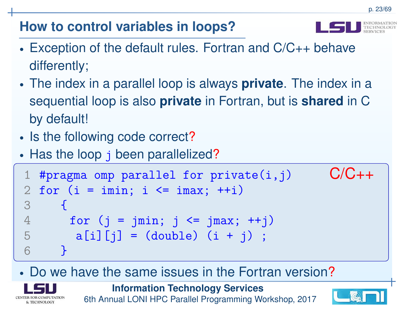

- • Exception of the default rules. Fortran and C/C++ behavedifferently;
- • The index in <sup>a</sup> parallel loop is always **private**. The index in <sup>a</sup>sequential loop is also **private** in Fortran, but is **shared** in <sup>C</sup>by default!
- •• Is the following code correct?
- •• Has the loop j been parallelized?

```
1#pragma omp parallel for private(i,j) C/C++2 for (i = imin; i \leq imax; ++i)3
4{
      for (j = jmin; j \le jmax; ++j)5a[i][j] = (double) (i + j);6}
```
#### •• Do we have the same issues in the Fortran version?



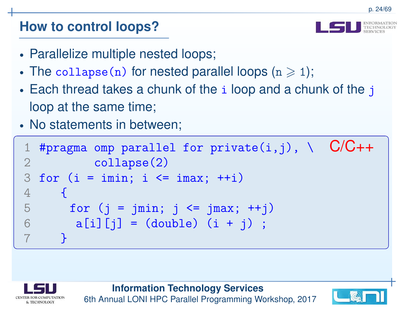#### **How to control loops?**

- •Parallelize multiple nested loops;
- •• The  $\mathtt{collapse}(n)$  for nested parallel loops  $(n\geqslant1);$
- $\bullet$  Fach thread takes a chunk of the  $\,$  i loop and  $\,$  $\bullet$  Each thread takes a chunk of the  $\mathtt{i}$  loop and a chunk of the  $\mathtt{j}$ loop at the same time;
- •• No statements in between;

```
1#pragma omp parallel for private(i,j), \ C/C++2 collapse(2)
3for (i = imin; i \le imax; ++i)4
5\left\{ \right.for (j = jmin; j \le jmax; ++j)6a[i][j] = (double) (i + j);7}
```


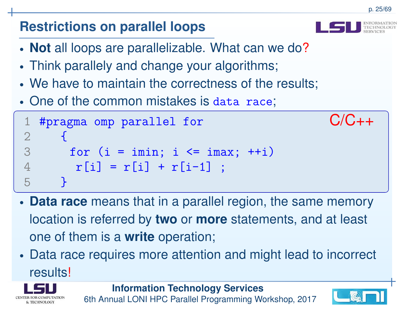#### • **Not** all loops are parallelizable. What can we do?• Think parallely and change your algorithms; • We have to maintain the correctness of the results; • One of the common mistakes is data race; 1#pragma omp parallel for  $C/C++$ 2 3 $\mathbf{\mathbf{r}}$ for  $(i = imin; i \le imax; ++i)$ 4 $r[i] = r[i] + r[i-1]$ ; 5}

**Restrictions on parallel loops**

- • **Data race** means that in <sup>a</sup> parallel region, the same memory location is referred by **two** or **more** statements, and at least one of them is <sup>a</sup> **write** operation;
- • Data race requires more attention and might lead to incorrectresults!





p. 25/69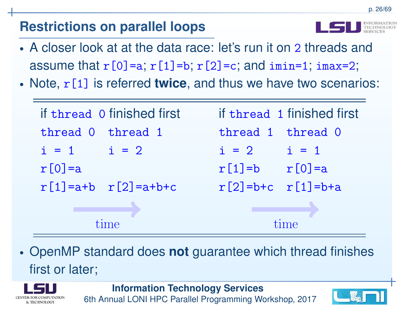# **Restrictions on parallel loops**

- •• A closer look at at the data race: let's run it on 2 threads and assume that  $r[0]$ =a;  $r[1]$ =b;  $r[2]$ =c; and imin=1; imax=2;
- •• Note, r [1] is referred **twice**, and thus we have two scenarios:

| if thread 0 finished first        | if thread 1 finished first |
|-----------------------------------|----------------------------|
| thread 0 thread 1                 | thread 1 thread 0          |
| $i = 1$ $i = 2$                   | $i = 2$ $i = 1$            |
| $r[0] = a$                        | $r[1]=b$ $r[0]=a$          |
| $r[1] = a + b$ $r[2] = a + b + c$ | $r[2] = b+c$ $r[1] = b+a$  |
|                                   |                            |
| time                              |                            |

• OpenMP standard does **not** guarantee which thread finishes first or later;



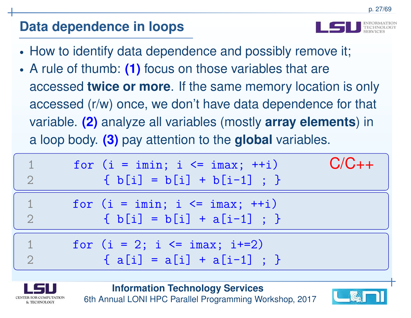- •How to identify data dependence and possibly remove it;
- • A rule of thumb: **(1)** focus on those variables that areaccessed **twice or more**. If the same memory location is only accessed (r/w) once, we don't have data dependence for that variable. **(2)** analyze all variables (mostly **array elements**) in<sup>a</sup> loop body. **(3)** pay attention to the **global** variables.

$$
\begin{array}{|c|c|c|c|c|c|c|c|c|} \hline 1 & \text{for (i = imin; i <= imax; ++i)} & C/C++ \\ \hline 2 & \{ b[i] = b[i] + b[i-1] ; \} & \\ \hline 1 & \text{for (i = imin; i <= imax; ++i)} & \\ \hline 2 & \{ b[i] = b[i] + a[i-1] ; \} & \\ \hline 1 & \text{for (i = 2; i <= imax; i+=2)} & \\ \hline 2 & \{ a[i] = a[i] + a[i-1] ; \} & \hline \end{array}
$$



**Information Technology Services**

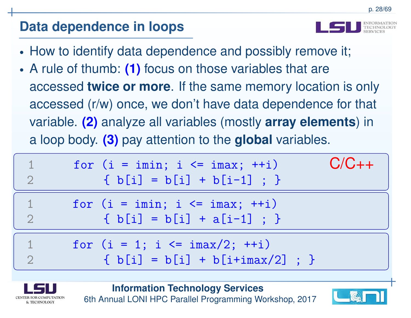- •How to identify data dependence and possibly remove it;
- • A rule of thumb: **(1)** focus on those variables that areaccessed **twice or more**. If the same memory location is only accessed (r/w) once, we don't have data dependence for that variable. **(2)** analyze all variables (mostly **array elements**) in<sup>a</sup> loop body. **(3)** pay attention to the **global** variables.

| for $(i = imin; i \leq imax; ++i)$<br>$\{ b[i] = b[i] + b[i-1] ; \}$             | $C/C++$ |
|----------------------------------------------------------------------------------|---------|
| for $(i = imin; i \leq imax; ++i)$<br>$\{ b[i] = b[i] + a[i-1] ; \}$             |         |
| for $(i = 1; i \le i \text{ max}/2; ++i)$<br>$\{ b[i] = b[i] + b[i+imax/2] ; \}$ |         |



**Information Technology Services**

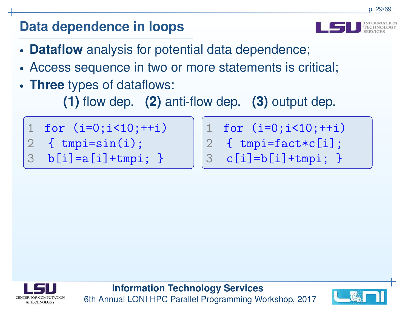

- •**Dataflow** analysis for potential data dependence;
- •Access sequence in two or more statements is critical;
- •**Three** types of dataflows:

**(1)** flow dep. **(2)** anti-flow dep. **(3)** output dep.

3

- 1for  $(i=0; i<10; ++i)$
- 2{ tmpi=sin(i);
- 3 $b[i]=a[i]+tmpi;$ }

1for  $(i=0; i<10; ++i)$ 2 $\{$  tmpi=fact\*c $[i]$ ;

$$
3 \quad c[i]=b[i]+tmpi; \}
$$



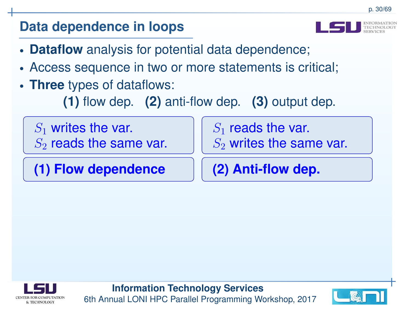- 
- •**Dataflow** analysis for potential data dependence;
- •Access sequence in two or more statements is critical;
- • **Three** types of dataflows:
	- **(1)** flow dep. **(2)** anti-flow dep. **(3)** output dep.

 $S_1\,$  $S_{2}$  $\mathcal{L}_1$  writes the var.  $r_2$  reads the same var.

**(1) Flow dependence**

 $S_1\,$  $\epsilon_1$  reads the var.

 $S_2$  $\frac{1}{2}$  writes the same var.

**(2) Anti-flow dep.**



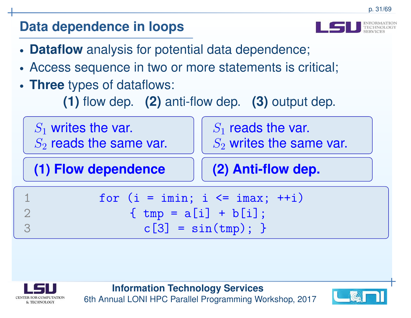- 
- •**Dataflow** analysis for potential data dependence;
- •Access sequence in two or more statements is critical;
- • **Three** types of dataflows:
	- **(1)** flow dep. **(2)** anti-flow dep. **(3)** output dep.





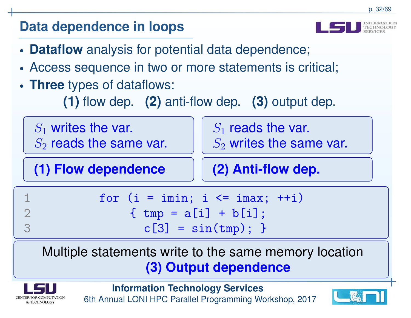- 
- •**Dataflow** analysis for potential data dependence;
- •Access sequence in two or more statements is critical;
- • **Three** types of dataflows:
	- **(1)** flow dep. **(2)** anti-flow dep. **(3)** output dep.

| $S_1$ writes the var.<br>$S_2$ reads the same var. | $S_1$ reads the var.<br>$S_2$ writes the same var. |  |
|----------------------------------------------------|----------------------------------------------------|--|
| (1) Flow dependence                                | (2) Anti-flow dep.                                 |  |
|                                                    | for $(i = imin; i \le imax; ++i)$                  |  |
| ${ \t{tmp = a[i] + b[i];$                          |                                                    |  |
|                                                    | $c[3] = sin(tmp);$                                 |  |

# Multiple statements write to the same memory location**(3) Output dependence**



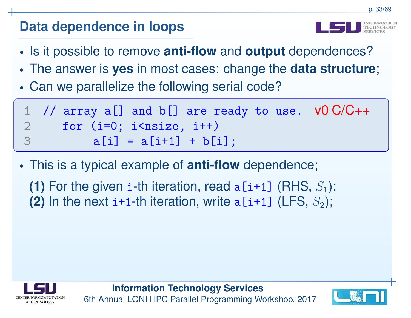- •Is it possible to remove **anti-flow** and **output** dependences?
- •The answer is **yes** in most cases: change the **data structure**;
- •Can we parallelize the following serial code?

|                | 1 // array a[] and b[] are ready to use. $VO\ C/C++$ |  |
|----------------|------------------------------------------------------|--|
| $\overline{2}$ | for $(i=0; i<$ nsize, $i++$ )                        |  |
| -3             | $a[i] = a[i+1] + b[i];$                              |  |

- • This is <sup>a</sup> typical example of **anti-flow** dependence;
	- **(1)** For the given i-th iteration, read a [i+1] (RHS, S<sub>1</sub>);<br>(2) Leads to the state of the state of the state of the state of the state of the state of the state of the sta **(2)** In the next  $\texttt{i+1-th}$  iteration, write  $\texttt{a[i+1]}$  (LFS,  $S_2$ );



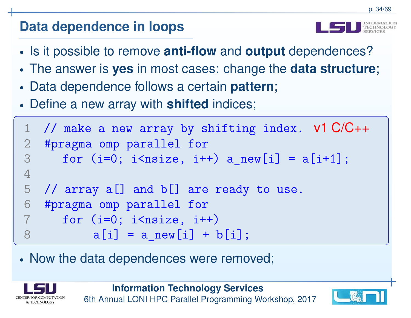- •Is it possible to remove **anti-flow** and **output** dependences?
- •The answer is **yes** in most cases: change the **data structure**;
- $\bullet$ Data dependence follows <sup>a</sup> certain **pattern**;
- •Define <sup>a</sup> new array with **shifted** indices;

```
1 // make a new array by shifting index. v1 C/C++2 #pragma omp parallel for
3for (i=0; i<nsize, i++) a new[i] = a[i+1];
4
5// array a[] and b[] are ready to use.
6 #pragma omp parallel for7 for (i=0; i<nsize, i++)
78a[i] = a new[i] + b[i];
```
•• Now the data dependences were removed;



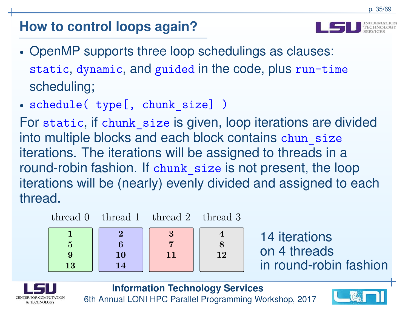# **How to control loops again?**

- 
- • OpenMP supports three loop schedulings as clauses: static, dynamic, and guided in the code, plus run-time scheduling;
- •schedule( type[, chunk\_size] )

For static, if chunk\_size is given, loop iterations are dividedinto multiple blocks and each block contains chun\_size iterations. The iterations will be assigned to threads in <sup>a</sup> round-robin fashion. If chunk\_size is not present, the loop iterations will be (nearly) evenly divided and assigned to eachthread.

4

8

12







14 iterations on 4 threadsin round-robin fashion



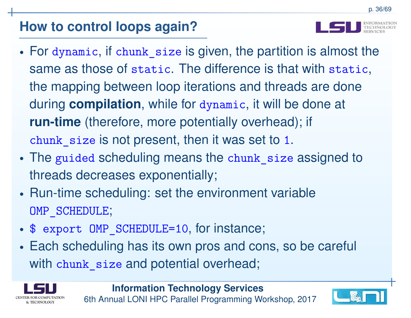# **How to control loops again?**

- • For dynamic, if chunk\_size is given, the partition is almost thesame as those of static. The difference is that with static, the mapping between loop iterations and threads are doneduring **compilation**, while for dynamic, it will be done at **run-time** (therefore, more potentially overhead); if  $\tt chunk\_size$  is not present, then it was set to 1.
- •• The guided scheduling means the chunk\_size assigned to threads decreases exponentially;
- • Run-time scheduling: set the environment variableOMP SCHEDULE;
- •\$ expor<sup>t</sup> OMP\_SCHEDULE=10, for instance;
- • Each scheduling has its own pros and cons, so be careful with chunk\_size and potential overhead;



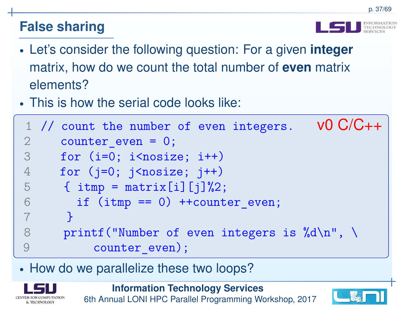

- • Let's consider the following question: For <sup>a</sup> given **integer** matrix, how do we count the total number of **even** matrix elements?
- •This is how the serial code looks like:

```
1// count the number of even integers. V0 C/C++2counter even = 0;
3for (i=0; i<nosize; i++)
4for (j=0; j<nosize; j++)
5\{ itmp = matrix[i][j]%2;
6if (imp == 0) ++counter even;
7
8}8 printf("Number of even integers is \lambda d \n\ln", \
9counter even);
```
•• How do we parallelize these two loops?



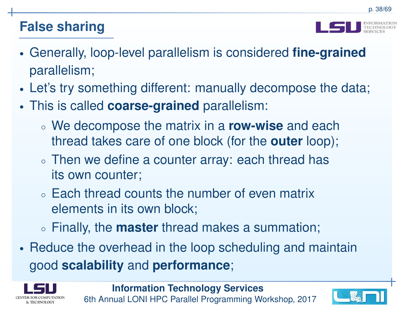

- • Generally, loop-level parallelism is considered **fine-grained**parallelism;
- •Let's try something different: manually decompose the data;
- • This is called **coarse-grained** parallelism:
	- ◦ We decompose the matrix in <sup>a</sup> **row-wise** and each thread takes care of one block (for the **outer** loop);
	- ◦ $\circ$  Then we define a counter array: each thread has its own counter;
	- ◦ $\circ$  Each thread counts the number of even matrix elements in its own block;
	- ◦Finally, the **master** thread makes <sup>a</sup> summation;
- • Reduce the overhead in the loop scheduling and maintaingood **scalability** and **performance**;



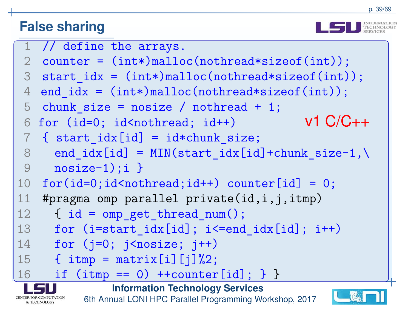



|                                                                         | 1 // define the arrays.                                             |  |
|-------------------------------------------------------------------------|---------------------------------------------------------------------|--|
|                                                                         | 2 counter = $(int*)$ malloc(nothread*sizeof(int));                  |  |
| 3                                                                       | start $idx = (int*){mall}$ malloc(nothread*sizeof(int));            |  |
| $\overline{4}$                                                          | end_idx = $(int*)$ malloc(nothread*sizeof(int));                    |  |
| 5                                                                       | chunk size = $nosize / nothread + 1$ ;                              |  |
| 6                                                                       | $v1 C/C++$<br>for (id=0; id <nothread; id++)<="" td=""></nothread;> |  |
| $\overline{7}$                                                          | { start $idx[id] = id * chunk size;$                                |  |
| 8                                                                       | end $idx[id] = MIN(start_idx[id]+chunk_size-1, \n\$                 |  |
| 9                                                                       | $nosize-1); i$                                                      |  |
| 10                                                                      | $for(id=0;id\simthread; id++) counter [id] = 0;$                    |  |
| 11                                                                      | #pragma omp parallel private(id, i, j, itmp)                        |  |
| 12                                                                      | { $id = comp get thread num()$ ;                                    |  |
| 13                                                                      | for $(i=start \text{idx}[id]$ ; $i<=end \text{idx}[id]$ ; $i++)$    |  |
| 14                                                                      | for $(j=0; j<$ nosize; $j++$ )                                      |  |
| 15                                                                      | { $\text{itmp} = \text{matrix[i][j]}\text{?}2;$                     |  |
| 16                                                                      | if $(itmp == 0) ++counter[id];$ } }                                 |  |
| <b>Information Technology Services</b>                                  |                                                                     |  |
| 6th Annual LONI HPC Parallel Programming Workshop, 2017<br>& TECHNOLOGY |                                                                     |  |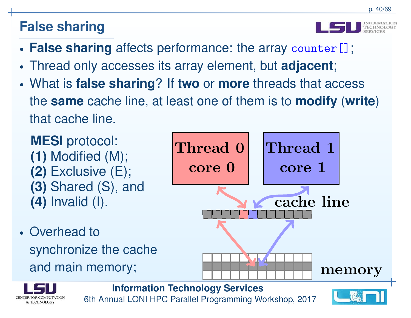& TECHNOLOGY

- •**False sharing** affects performance: the array counter[];
- •Thread only accesses its array element, but **adjacent**;
- • What is **false sharing**? If **two** or **more** threads that access the **same** cache line, at least one of them is to **modify** (**write**)that cache line.

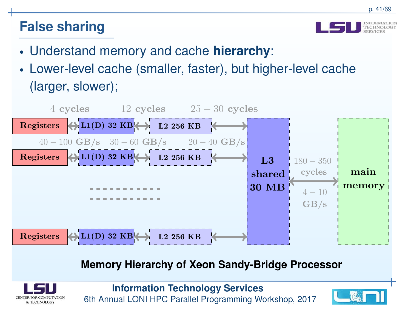

- •Understand memory and cache **hierarchy**:
- • Lower-level cache (smaller, faster), but higher-level cache(larger, slower);



#### **Memory Hierarchy of Xeon Sandy-Bridge Processor**

![](_page_40_Picture_7.jpeg)

![](_page_40_Picture_9.jpeg)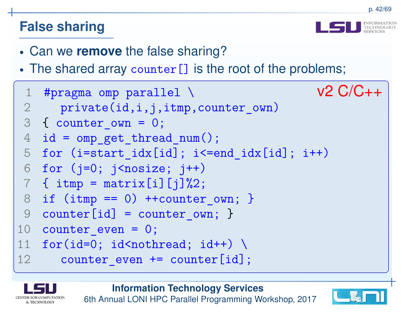![](_page_41_Picture_2.jpeg)

- •Can we **remove** the false sharing?
- • $\bullet$  The shared array  $\text{counter} \left[ \ \right]$  is the root of the problems;

```
1#pragma omp parallel \ v2 C/C++2 private(id,i,j,itmp,counter_own)
 3{ counter_own = 0;
 4 id = omp_get_thread_num();
 5 for (i=start\_idx[id]; i<=end\_idx[id]; i++)6 for (j=0; j<nosize; j++)
 7 \quad {\{\ \text{itmp} = \text{matrix[i][j]}\%2\}}8 if (itmp == 0) +-counter_own; }
99 counter[id] = counter_own; }
10 counter_even = 0;
11for(id=0; id<nothread; id++) \setminus12counter even += counter[id];
```
& TECHNOLOGY

**Information Technology Services**

![](_page_41_Picture_8.jpeg)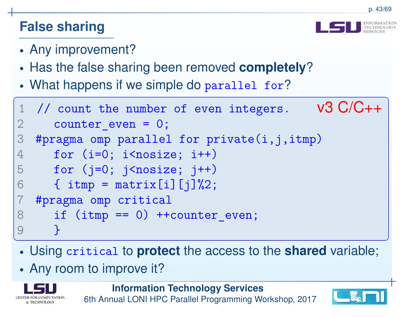- •Any improvement?
- •**• Has the false sharing been removed completely?**
- •What happens if we simple do parallel for ?

```
1// count the number of even integers. V3 C/C++2counter even = 0;
3#pragma omp parallel for \text{private}(i,j,\text{item})4for (i=0; i<nosize; i++)
5for (j=0; j<nosize; j++)
6\{ itmp = matrix[i][j]%2;
7 #pragma omp critical
8if (imp == 0) ++counter even;
9}
```
- •Using critical to **protect** the access to the **shared** variable;
- •• Any room to improve it?

![](_page_42_Picture_9.jpeg)

![](_page_42_Picture_11.jpeg)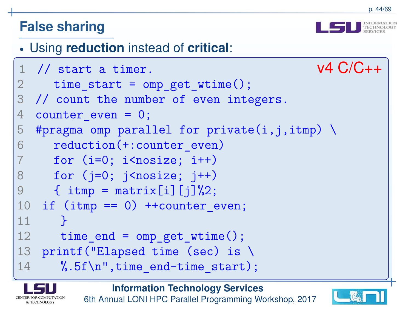![](_page_43_Picture_2.jpeg)

#### •Using **reduction** instead of **critical**:

```
1// start a timer. v4 C/C++
2 time_start = omp_get_wtime();
3 // count the number of even integers.
4counter even = 0;
5#pragma omp parallel for private(i,j,itmp) \setminus6 reduction(+:counter_even)7for (i=0; i<nosize; i++)
8for (j=0; j<nosize; j++)
9\{ itmp = matrix[i][j]%2;
 0 if (itmp == 0) ++counter_even;
1011
12}2 time_end = omp_get_wtime();
13 printf("Elapsed time (sec) is \
14\%.5f\n",time end-time start);
```
![](_page_43_Picture_5.jpeg)

**Information Technology Services**

![](_page_43_Picture_7.jpeg)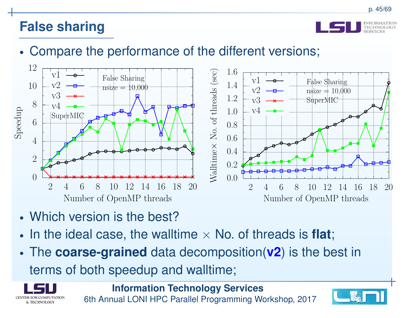![](_page_44_Picture_2.jpeg)

#### •Compare the performance of the different versions;

![](_page_44_Figure_4.jpeg)

- •Which version is the best?
- •• In the ideal case, the walltime  $\times$  No. of threads is **flat**;
- • The **coarse-grained** data decomposition(**v2**) is the best in terms of both speedup and walltime;

![](_page_44_Picture_8.jpeg)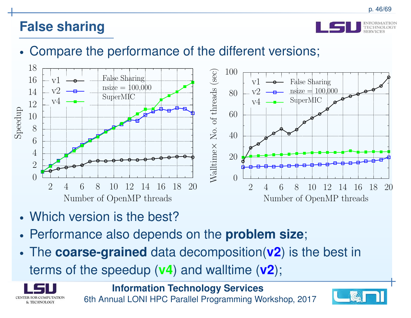![](_page_45_Picture_2.jpeg)

#### •Compare the performance of the different versions;

![](_page_45_Figure_4.jpeg)

- •Which version is the best?
- •Performance also depends on the **problem size**;
- • The **coarse-grained** data decomposition(**v2**) is the best in terms of the speedup (**v4**) and walltime (**v2**);

![](_page_45_Picture_8.jpeg)

![](_page_45_Picture_10.jpeg)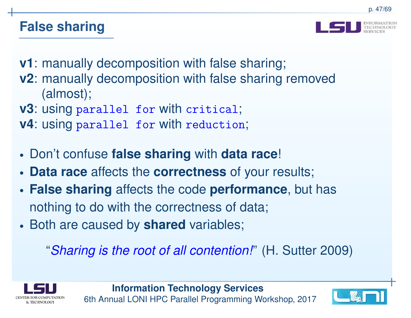![](_page_46_Picture_2.jpeg)

**v1**: manually decomposition with false sharing;

- **v2**: manually decomposition with false sharing removed(almost);
- **v3**: using parallel for with critical;
- **v4**: using parallel for with reduction;
- •Don't confuse **false sharing** with **data race**!
- •**Data race** affects the **correctness** of your results;
- • **False sharing** affects the code **performance**, but has nothing to do with the correctness of data;
- •**Both are caused by shared variables**;

"*Sharing is the root of all contention!*" (H. Sutter 2009)

![](_page_46_Picture_12.jpeg)

![](_page_46_Picture_14.jpeg)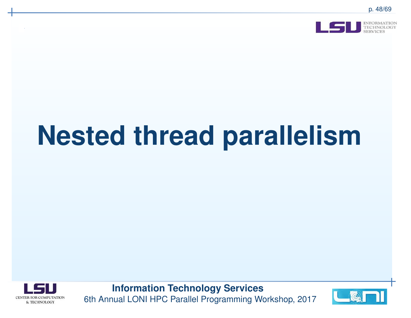![](_page_47_Picture_1.jpeg)

![](_page_47_Picture_3.jpeg)

![](_page_47_Picture_5.jpeg)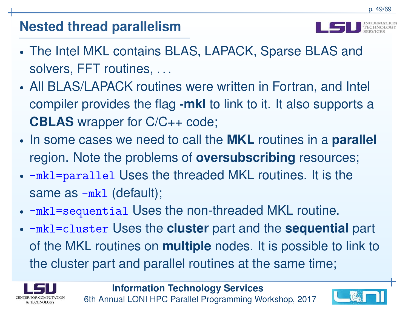- 
- • The Intel MKL contains BLAS, LAPACK, Sparse BLAS andsolvers, FFT routines, *. . .*
- • All BLAS/LAPACK routines were written in Fortran, and Intel compiler provides the flag **-mkl** to link to it. It also supports <sup>a</sup> **CBLAS** wrapper for C/C++ code;
- • In some cases we need to call the **MKL** routines in <sup>a</sup> **parallel** region. Note the problems of **oversubscribing** resources;
- -mkl=parallel Uses the threaded MKL routines. It is thesame as -mkl (default);
- • $\bullet$  -mkl=sequential Uses the non-threaded MKL routine.
- -mkl=cluster Uses the **cluster** part and the **sequential** part of the MKL routines on **multiple** nodes. It is possible to link to the cluster part and parallel routines at the same time;

![](_page_48_Picture_9.jpeg)

![](_page_48_Picture_11.jpeg)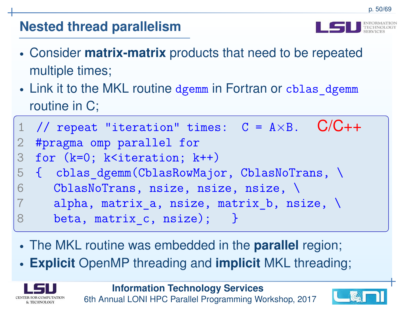- • Consider **matrix-matrix** products that need to be repeated multiple times;
- •• Link it to the MKL routine dgemm in Fortran or cblas\_dgemm routine in C;
- 11 // repeat "iteration" times:  $C = A \times B$ .  $C/C_{++}$ 2 #pragma omp parallel for 3for (k=0; k<iteration; k++) 5 { cblas\_dgemm(CblasRowMajor, CblasNoTrans, \ 6CblasNoTrans, nsize, nsize, nsize, \ alpha, matrix\_a, nsize, matrix\_b, nsize, \ 78beta, matrix c, nsize); }
	- •The MKL routine was embedded in the **parallel** region;
	- •**Explicit** OpenMP threading and **implicit** MKL threading;

![](_page_49_Picture_7.jpeg)

![](_page_49_Picture_9.jpeg)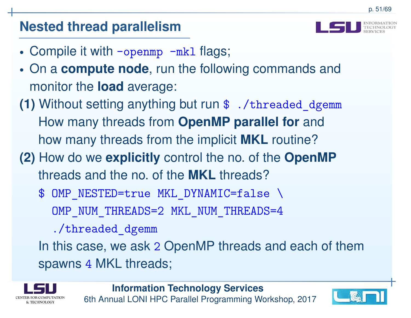- •• Compile it with -openmp -mkl flags;
- • On <sup>a</sup> **compute node**, run the following commands and monitor the **load** average:
- **(1)** Without setting anything but run \$ ./threaded\_dgemm How many threads from **OpenMP parallel for** and how many threads from the implicit **MKL** routine?
- **(2)** How do we **explicitly** control the no. of the **OpenMP**threads and the no. of the **MKL** threads?
	- \$ OMP NESTED=true MKL DYNAMIC=false \
		- OMP NUM THREADS=2 MKL NUM THREADS=4
		- ./threaded\_dgemm

In this case, we ask 2 OpenMP threads and each of them spawns 4 MKL threads;

![](_page_50_Picture_11.jpeg)

![](_page_50_Picture_13.jpeg)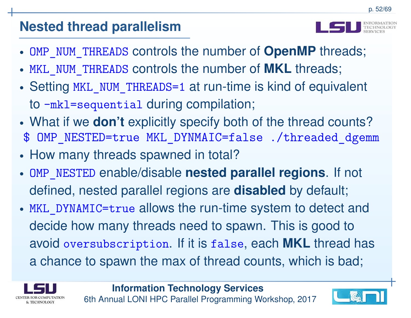![](_page_51_Picture_2.jpeg)

- •OMP\_NUM\_THREADS controls the number of **OpenMP** threads;
- •MKL\_NUM\_THREADS controls the number of **MKL** threads;
- •• Setting MKL\_NUM\_THREADS=1 at run-time is kind of equivalent to -mkl=sequential during compilation;
- • What if we **don't** explicitly specify both of the thread counts? \$ OMP\_NESTED=true MKL\_DYNMAIC=false ./threaded\_dgemm
- •• How many threads spawned in total?
- OMP\_NESTED enable/disable **nested parallel regions**. If not defined, nested parallel regions are **disabled** by default;
- MKL\_DYNAMIC=true allows the run-time system to detect anddecide how many threads need to spawn. This is good toavoid oversubscription. If it is false, each **MKL** thread has <sup>a</sup> chance to spawn the max of thread counts, which is bad;

![](_page_51_Picture_10.jpeg)

![](_page_51_Picture_12.jpeg)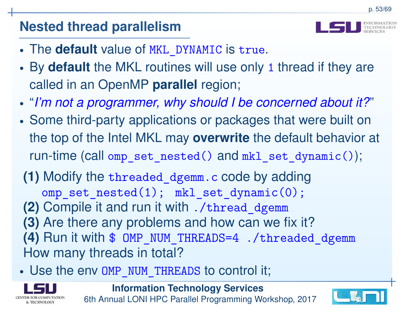![](_page_52_Picture_2.jpeg)

- •The **default** value of MKL\_DYNAMIC is true.
- • By **default** the MKL routines will use only 1 thread if they arecalled in an OpenMP **parallel** region;
- •"*I'm not <sup>a</sup> programmer, why should I be concerned about it?*"
- • Some third-party applications or packages that were built <sup>o</sup>nthe top of the Intel MKL may **overwrite** the default behavior at run-time (call omp\_set\_nested() and mkl\_set\_dynamic());
- **(1)** Modify the threaded\_dgemm.c code by adding $\texttt{omp\_set\_nested(1)}$ ;  $\texttt{mkl\_set\_dynamic(0)}$ ;
- **(2)** Compile it and run it with ./thread\_dgemm
- **(3)** Are there any problems and how can we fix it?
- **(4)** Run it with \$ OMP\_NUM\_THREADS=4 ./threaded\_dgemm How many threads in total?
- •Use the env OMP\_NUM\_THREADS to control it;

![](_page_52_Picture_12.jpeg)

![](_page_52_Picture_14.jpeg)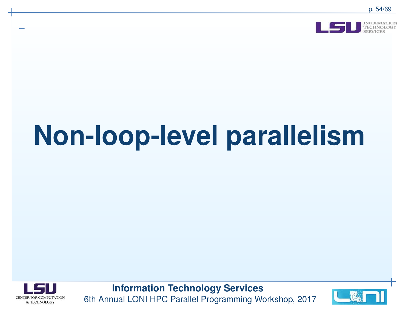![](_page_53_Picture_1.jpeg)

# **Non-loop-level parallelism**

![](_page_53_Picture_3.jpeg)

![](_page_53_Picture_5.jpeg)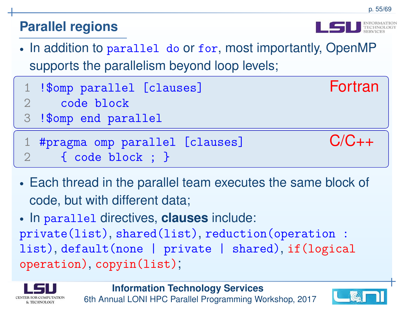### **Parallel regions**

- •• In addition to parallel do or for, most importantly, OpenMP supports the parallelism beyond loop levels;
	- 1!\$omp parallel [clauses] Fortran
- 2code block
- 3!\$omp end parallel
- 1 #pragma omp parallel [clauses] C/C++2{ code block ; }
- • Each thread in the parallel team executes the same block of code, but with different data;
- • In parallel directives, **clauses** include: private(list), shared(list), reduction(operation : list), default(none | private | shared), if(logicaloperation), copyin(list);

![](_page_54_Picture_9.jpeg)

![](_page_54_Picture_11.jpeg)

![](_page_54_Picture_12.jpeg)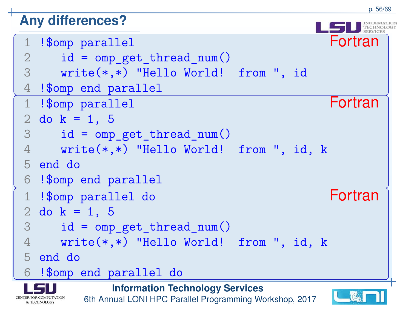#### **Any differences?**

![](_page_55_Figure_2.jpeg)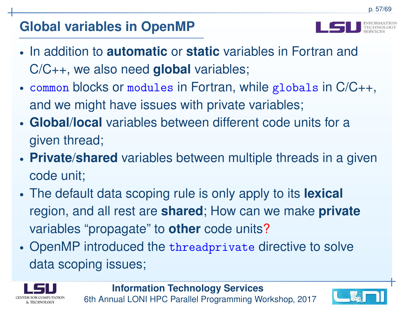# **Global variables in OpenMP**

![](_page_56_Picture_2.jpeg)

- •**•** In addition to **automatic** or **static** variables in Fortran and C/C++, we also need **global** variables;
- common blocks or modules in Fortran, while <sup>g</sup>lobals in C/C++, and we might have issues with private variables;
- • **Global**/**local** variables between different code units for <sup>a</sup>given thread;
- • **Private**/**shared** variables between multiple threads in <sup>a</sup> given code unit;
- • The default data scoping rule is only apply to its **lexical** region, and all rest are **shared**; How can we make **private** variables "propagate" to **other** code units ?
- • OpenMP introduced the threadprivate directive to solve data scoping issues;

![](_page_56_Picture_9.jpeg)

![](_page_56_Picture_11.jpeg)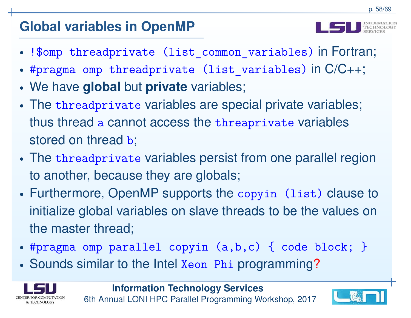# **Global variables in OpenMP**

- •!\$omp threadprivate (list\_common\_variables) in Fortran;
- •#pragma omp threadprivate (list\_variables) in C/C++;
- •We have **global** but **private** variables;
- • The threadprivate variables are special private variables; thus thread a cannot access the  ${\tt three}$ private variables stored on thread **b**;
- • The threadprivate variables persist from one parallel regionto another, because they are globals;
- • Furthermore, OpenMP supports the copyin (list) clause toinitialize global variables on slave threads to be the values onthe master thread;
- •#pragma omp parallel copyin (a,b,c) { code block; }
- •Sounds similar to the Intel Xeon Phi programming?

![](_page_57_Picture_10.jpeg)

![](_page_57_Picture_12.jpeg)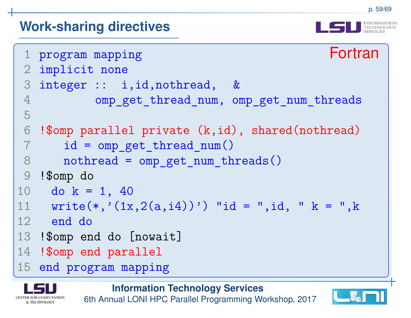![](_page_58_Picture_2.jpeg)

```
1 program mapping Fortran
2 implicit none
3 integer :: i,id,nothread, &
4 omp_get_thread_num, omp_get_num_threads
5
6!$omp parallel private (k,id), shared(nothread)
7 id = omp_get_thread_num()
8nothread = omp get num threads()
9 !$omp do0 do k = 1, 40
1011 write(*,'(1x,2(a,i4))') "id = ",id, " k = ",k
12 end do
13 !$omp end do [nowait]
14 <mark>!$omp end parallel</mark>
15 end program mapping
```
**Information Technology Services**

![](_page_58_Picture_5.jpeg)

![](_page_58_Picture_7.jpeg)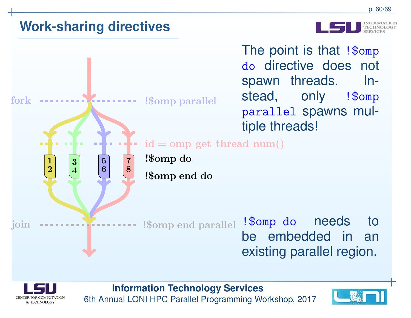![](_page_59_Picture_2.jpeg)

![](_page_59_Figure_3.jpeg)

![](_page_59_Picture_4.jpeg)

![](_page_59_Picture_6.jpeg)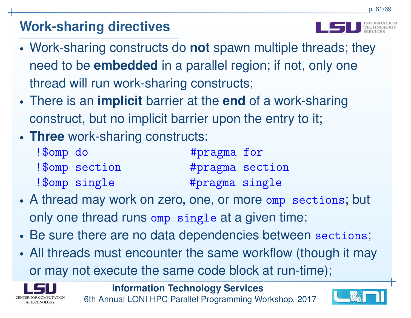- • Work-sharing constructs do **not** spawn multiple threads; they need to be **embedded** in <sup>a</sup> parallel region; if not, only one thread will run work-sharing constructs;
- • There is an **implicit** barrier at the **end** of <sup>a</sup> work-sharing construct, but no implicit barrier upon the entry to it;
- •**Three** work-sharing constructs:

| !\$omp do |                | #pragma for     |  |
|-----------|----------------|-----------------|--|
|           | ! Somp section | #pragma section |  |
|           | !\$omp single  | #pragma single  |  |

- • A thread may work on zero, one, or more omp sections; but only one thread runs omp single at <sup>a</sup> given time;
- •Be sure there are no data dependencies between sections;
- • All threads must encounter the same workflow (though it mayor may not execute the same code block at run-time);

![](_page_60_Picture_9.jpeg)

**Information Technology Services**

![](_page_60_Picture_12.jpeg)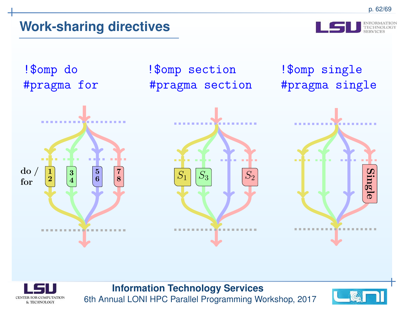#pragma single

!\$omp do !\$omp section !\$omp single #pragma for #pragma section

![](_page_61_Figure_5.jpeg)

![](_page_61_Picture_6.jpeg)

**Information Technology Services**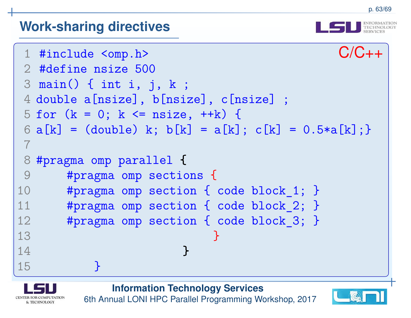![](_page_62_Picture_2.jpeg)

![](_page_62_Picture_3.jpeg)

**Information Technology Services**

![](_page_62_Picture_5.jpeg)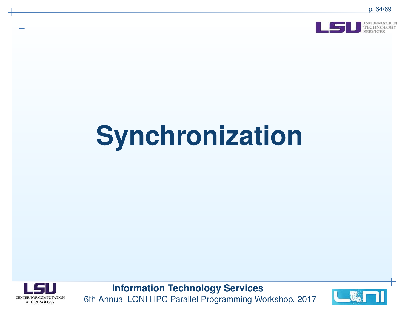![](_page_63_Picture_1.jpeg)

![](_page_63_Picture_3.jpeg)

![](_page_63_Picture_5.jpeg)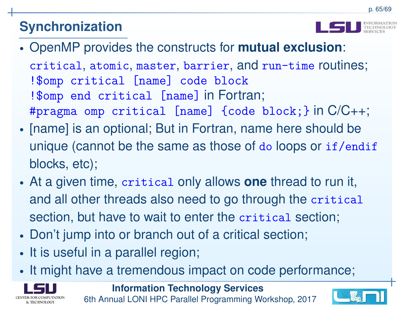![](_page_64_Picture_2.jpeg)

- • OpenMP provides the constructs for **mutual exclusion**: critical, atomic, master, barrier, and run-time routines; !\$omp critical [name] code block !\$omp end critical [name] in Fortran; #pragma omp critical [name] {code block;} in C/C++;
- •• [name] is an optional; But in Fortran, name here should be unique (cannot be the same as those of  $\texttt{do}$  loops or  $\texttt{if} / \texttt{endif}$ blocks, etc);
- • At <sup>a</sup> given time, critical only allows **one** thread to run it, and all other threads also need to go through the critical section, but have to wait to enter the critical section;
- •Don't jump into or branch out of <sup>a</sup> critical section;
- •• It is useful in a parallel region;
- •• It might have a tremendous impact on code performance;

![](_page_64_Picture_9.jpeg)

![](_page_64_Picture_11.jpeg)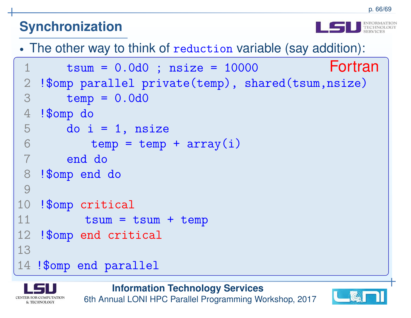•The other way to think of reduction variable (say addition):

```
1tsum = 0.0d0; nsize = 10000 Fortran
2 !$omp parallel private(temp), shared(tsum,nsize)
3temp = 0.0d04 !$omp do
5do i = 1, nsize
6temp = temp + array(i)7 end do
8 !$omp end do
9
10 !$omp critical
11tsum = tsum + temp12 !$omp end critical
1314 !$omp end parallel
```
![](_page_65_Picture_4.jpeg)

![](_page_65_Picture_6.jpeg)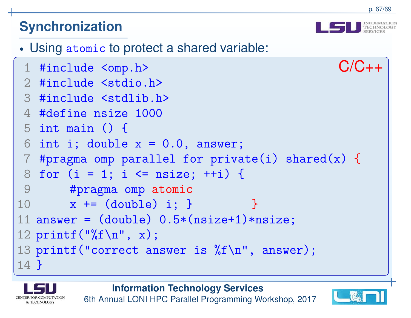![](_page_66_Picture_2.jpeg)

```
• Using atomic to protect a shared variable:
 1 #include <omp.h> C/C++2 #include <stdio.h>
3 #include <stdlib.h>
4 #define nsize 1000
5 int main () {
6 int i; double x = 0.0, answer;

7 #pragma omp parallel for private(i) shared(x)
{8 for (i = 1; i <= nsize; ++i) {
9 #pragma omp atomic
10x \leftarrow (double) i; }
                                  }<br>}

11 answer = (double) 0.5*(nsize+1)*nsize;
12 \text{print}('%f\n', x);
13 printf("correct answer is %f\n", answer);
14}
```
**Information Technology Services**

![](_page_66_Picture_5.jpeg)

![](_page_66_Picture_7.jpeg)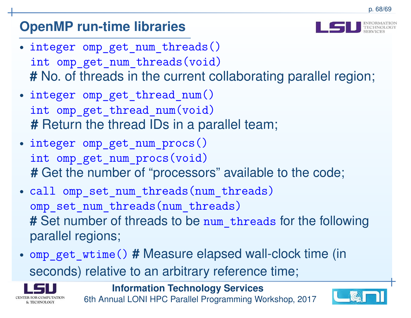# **OpenMP run-time libraries**

- • integer omp\_get\_num\_threads() int omp\_get\_num\_threads(void)**#** No. of threads in the current collaborating parallel region;
- • integer omp\_get\_thread\_num() int omp\_get\_thread\_num(void)**#** Return the thread IDs in <sup>a</sup> parallel team;
- • integer omp\_get\_num\_procs() int omp\_get\_num\_procs(void)**#** Get the number of "processors" available to the code;
- • call omp\_set\_num\_threads(num\_threads)omp\_set\_num\_threads(num\_threads) **#** Set number of threads to be num\_threads for the following parallel regions;
- • omp\_get\_wtime()**#** Measure elapsed wall-clock time (in seconds) relative to an arbitrary reference time;

![](_page_67_Picture_7.jpeg)

**Information Technology Services**

![](_page_67_Picture_10.jpeg)